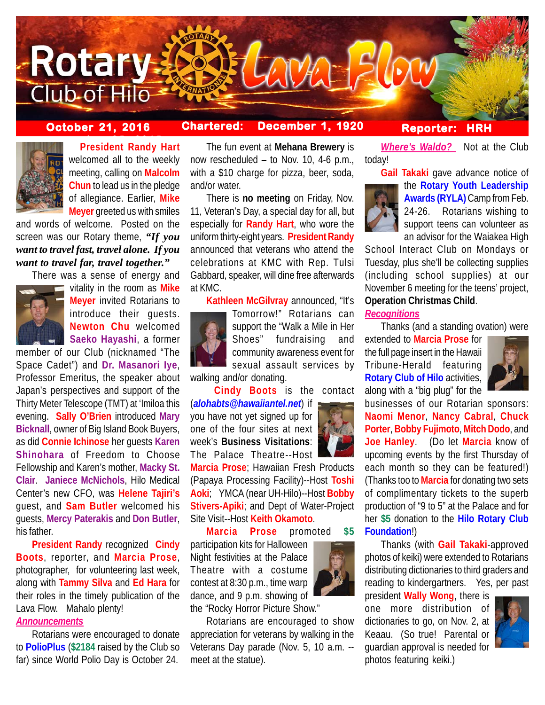

# **October 21, 2016 Chartered: December 1, 1920**

## **Reporter: HRH**

**Where's Waldo?** Not at the Club



**President Randy Hart** welcomed all to the weekly meeting, calling on **Malcolm Chun** to lead us in the pledge of allegiance. Earlier, **Mike Meyer** greeted us with smiles

and words of welcome. Posted on the screen was our Rotary theme, *"If you want to travel fast, travel alone. If you want to travel far, travel together."*

There was a sense of energy and



vitality in the room as **Mike Meyer** invited Rotarians to introduce their guests. **Newton Chu** welcomed **Saeko Hayashi**, a former

member of our Club (nicknamed "The Space Cadet") and **Dr. Masanori Iye**, Professor Emeritus, the speaker about Japan's perspectives and support of the Thirty Meter Telescope (TMT) at 'Imiloa this evening. **Sally O'Brien** introduced **Mary Bicknall**, owner of Big Island Book Buyers, as did **Connie Ichinose** her guests **Karen Shinohara** of Freedom to Choose Fellowship and Karen's mother, **Macky St. Clair**. **Janiece McNichols**, Hilo Medical Center's new CFO, was **Helene Tajiri's** guest, and **Sam Butler** welcomed his guests, **Mercy Paterakis** and **Don Butler**, his father.

**President Randy** recognized **Cindy Boots**, reporter, and **Marcia Prose**, photographer, for volunteering last week, along with **Tammy Silva** and **Ed Hara** for their roles in the timely publication of the Lava Flow. Mahalo plenty!

### *Announcements*

Rotarians were encouraged to donate to **PolioPlus** (**\$2184** raised by the Club so far) since World Polio Day is October 24.

The fun event at **Mehana Brewery** is now rescheduled – to Nov. 10, 4-6 p.m., with a \$10 charge for pizza, beer, soda, and/or water.

There is **no meeting** on Friday, Nov. 11, Veteran's Day, a special day for all, but especially for **Randy Hart**, who wore the uniform thirty-eight years. **President Randy** announced that veterans who attend the celebrations at KMC with Rep. Tulsi Gabbard, speaker, will dine free afterwards at KMC.

**Kathleen McGilvray** announced, "It's



Tomorrow!" Rotarians can support the "Walk a Mile in Her Shoes" fundraising and community awareness event for sexual assault services by

walking and/or donating.

**Cindy Boots** is the contact (*alohabts@hawaiiantel.net*) if

you have not yet signed up for one of the four sites at next week's **Business Visitations**: The Palace Theatre--Host

**Marcia Prose**; Hawaiian Fresh Products (Papaya Processing Facility)--Host **Toshi Aoki**; YMCA (near UH-Hilo)--Host **Bobby Stivers-Apiki**; and Dept of Water-Project Site Visit--Host **Keith Okamoto**.

**Marcia Prose** promoted **\$5**

participation kits for Halloween Night festivities at the Palace Theatre with a costume contest at 8:30 p.m., time warp dance, and 9 p.m. showing of the "Rocky Horror Picture Show."

Rotarians are encouraged to show appreciation for veterans by walking in the Veterans Day parade (Nov. 5, 10 a.m. - meet at the statue).



today!

**Gail Takaki** gave advance notice of the **Rotary Youth Leadership Awards (RYLA)** Camp from Feb. 24-26. Rotarians wishing to support teens can volunteer as an advisor for the Waiakea High

School Interact Club on Mondays or Tuesday, plus she'll be collecting supplies (including school supplies) at our November 6 meeting for the teens' project, **Operation Christmas Child**.

# *Recognitions*

Thanks (and a standing ovation) were

extended to **Marcia Prose** for the full page insert in the Hawaii Tribune-Herald featuring **Rotary Club of Hilo** activities, along with a "big plug" for the



businesses of our Rotarian sponsors: **Naomi Menor**, **Nancy Cabral**, **Chuck Porter**, **Bobby Fujimoto**, **Mitch Dodo**, and **Joe Hanley**. (Do let **Marcia** know of upcoming events by the first Thursday of each month so they can be featured!) (Thanks too to **Marcia** for donating two sets of complimentary tickets to the superb production of "9 to 5" at the Palace and for her **\$5** donation to the **Hilo Rotary Club Foundation**!)

Thanks (with **Gail Takaki**-approved photos of keiki) were extended to Rotarians distributing dictionaries to third graders and reading to kindergartners. Yes, per past

president **Wally Wong**, there is one more distribution of dictionaries to go, on Nov. 2, at Keaau. (So true! Parental or guardian approval is needed for photos featuring keiki.)

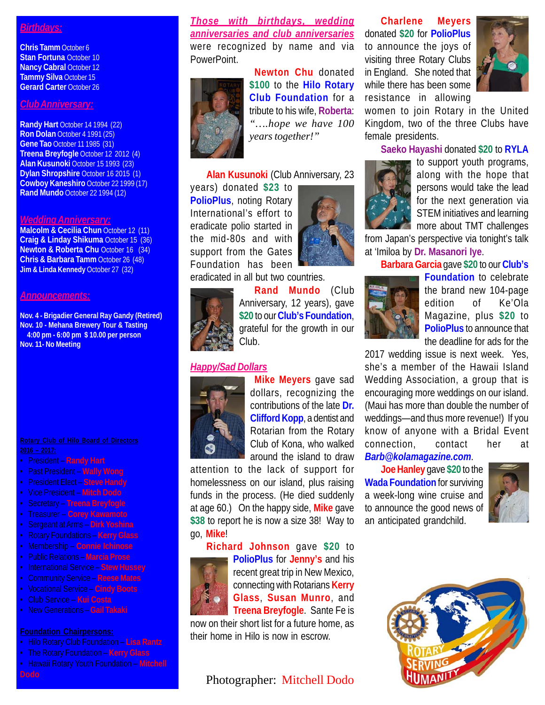### *Birthdays:*

**Chris Tamm** October 6 **Stan Fortuna** October 10 **Nancy Cabral October 12 Tammy Silva** October 15 **Gerard Carter** October 26

### *Club Anniversary:*

**Randy Hart** October 14 1994 (22) **Ron Dolan** October 4 1991 (25) **Gene Tao** October 11 1985 (31) **Treena Breyfogle** October 12 2012 (4) **Alan Kusunoki** October 15 1993 (23) **Dylan Shropshire** October 16 2015 (1) **Cowboy Kaneshiro** October 22 1999 (17) **Rand Mundo** October 22 1994 (12)

### *Wedding Anniversary:*

**Malcolm & Cecilia Chun October 12 (11) Craig & Linday Shikuma** October 15 (36) **Newton & Roberta Chu** October 16 (34) **Chris & Barbara Tamm** October 26 (48) **Jim & Linda Kennedy** October 27 (32)

### *Announcements:*

**Nov. 4 - Brigadier General Ray Gandy (Retired) Nov. 10 - Mehana Brewery Tour & Tasting 4:00 pm - 6:00 pm \$ 10.00 per person Nov. 11- No Meeting**

- President **Randy Hart**
- Past President **Wally Wong**
- President Elect **Steve Handy**
- Vice President **Mitch Dodo**
- Secretary **Treena Breyfogle**
- Treasurer **Corey Kawamoto**
- Sergeant at Arms **Dirk Yoshina**
- 
- Membership **Connie Ichinose**
- Public Relations **Marcia Prose**
- International Service **Stew Hussey**
- Community Service **Reese Mates**
- Vocational Service **Cindy Boots**
- Club Service **Kui Costa**
- New Generations **Gail Takaki**

- Hilo Rotary Club Foundation **Lisa Rantz**
- The Rotary Foundation **Kerry Glass**
- Hawaii Rotary Youth Foundation **Mitchell**

*Those with birthdays, wedding anniversaries and club anniversaries* were recognized by name and via PowerPoint.



**Newton Chu** donated **\$100** to the **Hilo Rotary Club Foundation** for a tribute to his wife, **Roberta**: *"….hope we have 100 years together!"*

### **Alan Kusunoki** (Club Anniversary, 23

years) donated **\$23** to **PolioPlus**, noting Rotary International's effort to eradicate polio started in the mid-80s and with support from the Gates Foundation has been



eradicated in all but two countries.

**Rand Mundo** (Club Anniversary, 12 years), gave **\$20** to our **Club's Foundation**, grateful for the growth in our Club.

### *Happy/Sad Dollars*



**Mike Meyers** gave sad dollars, recognizing the contributions of the late **Dr. Clifford Kopp**, a dentist and Rotarian from the Rotary Club of Kona, who walked around the island to draw

attention to the lack of support for homelessness on our island, plus raising funds in the process. (He died suddenly at age 60.) On the happy side, **Mike** gave **\$38** to report he is now a size 38! Way to go, **Mike**!

# **Richard Johnson** gave **\$20** to **PolioPlus** for **Jenny's** and his recent great trip in New Mexico, connecting with Rotarians **Kerry Glass**, **Susan Munro**, and **Treena Breyfogle**. Sante Fe is

now on their short list for a future home, as their home in Hilo is now in escrow.

# Photographer: Mitchell Dodo

**Charlene Meyers** donated **\$20** for **PolioPlus** to announce the joys of visiting three Rotary Clubs in England. She noted that while there has been some resistance in allowing



women to join Rotary in the United Kingdom, two of the three Clubs have female presidents.

**Saeko Hayashi** donated **\$20** to **RYLA**



to support youth programs, along with the hope that persons would take the lead for the next generation via STEM initiatives and learning more about TMT challenges

from Japan's perspective via tonight's talk at 'Imiloa by **Dr. Masanori Iye**.

**Barbara Garcia** gave **\$20** to our **Club's**



**Foundation** to celebrate the brand new 104-page edition of Ke'Ola Magazine, plus **\$20** to **PolioPlus** to announce that the deadline for ads for the

2017 wedding issue is next week. Yes, she's a member of the Hawaii Island Wedding Association, a group that is encouraging more weddings on our island. (Maui has more than double the number of weddings—and thus more revenue!) If you know of anyone with a Bridal Event connection, contact her at

*Barb@kolamagazine.com*.

**Joe Hanley** gave **\$20** to the **Wada Foundation** for surviving a week-long wine cruise and to announce the good news of an anticipated grandchild.